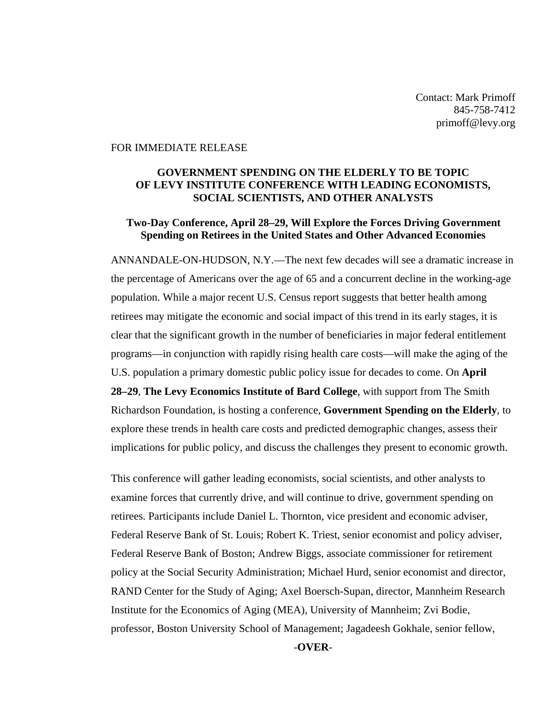Contact: Mark Primoff 845-758-7412 primoff@levy.org

#### FOR IMMEDIATE RELEASE

### **GOVERNMENT SPENDING ON THE ELDERLY TO BE TOPIC OF LEVY INSTITUTE CONFERENCE WITH LEADING ECONOMISTS, SOCIAL SCIENTISTS, AND OTHER ANALYSTS**

#### **Two-Day Conference, April 28–29, Will Explore the Forces Driving Government Spending on Retirees in the United States and Other Advanced Economies**

ANNANDALE-ON-HUDSON, N.Y.—The next few decades will see a dramatic increase in the percentage of Americans over the age of 65 and a concurrent decline in the working-age population. While a major recent U.S. Census report suggests that better health among retirees may mitigate the economic and social impact of this trend in its early stages, it is clear that the significant growth in the number of beneficiaries in major federal entitlement programs—in conjunction with rapidly rising health care costs—will make the aging of the U.S. population a primary domestic public policy issue for decades to come. On **April 28–29**, **The Levy Economics Institute of Bard College**, with support from The Smith Richardson Foundation, is hosting a conference, **Government Spending on the Elderly**, to explore these trends in health care costs and predicted demographic changes, assess their implications for public policy, and discuss the challenges they present to economic growth.

This conference will gather leading economists, social scientists, and other analysts to examine forces that currently drive, and will continue to drive, government spending on retirees. Participants include Daniel L. Thornton, vice president and economic adviser, Federal Reserve Bank of St. Louis; Robert K. Triest, senior economist and policy adviser, Federal Reserve Bank of Boston; Andrew Biggs, associate commissioner for retirement policy at the Social Security Administration; Michael Hurd, senior economist and director, RAND Center for the Study of Aging; Axel Boersch-Supan, director, Mannheim Research Institute for the Economics of Aging (MEA), University of Mannheim; Zvi Bodie, professor, Boston University School of Management; Jagadeesh Gokhale, senior fellow,

*-***OVER***-*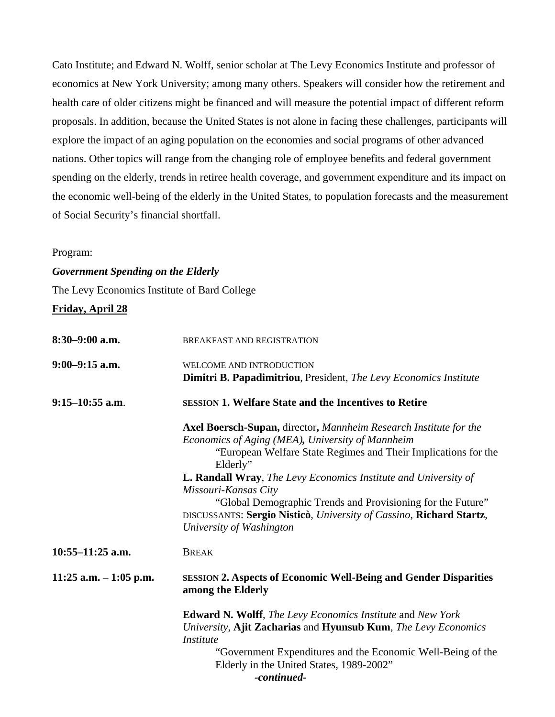Cato Institute; and Edward N. Wolff, senior scholar at The Levy Economics Institute and professor of economics at New York University; among many others. Speakers will consider how the retirement and health care of older citizens might be financed and will measure the potential impact of different reform proposals. In addition, because the United States is not alone in facing these challenges, participants will explore the impact of an aging population on the economies and social programs of other advanced nations. Other topics will range from the changing role of employee benefits and federal government spending on the elderly, trends in retiree health coverage, and government expenditure and its impact on the economic well-being of the elderly in the United States, to population forecasts and the measurement of Social Security's financial shortfall.

### Program:

### *Government Spending on the Elderly*

The Levy Economics Institute of Bard College

## **Friday, April 28**

| $8:30-9:00$ a.m.        | BREAKFAST AND REGISTRATION                                                                                                                                                                                                                                                                                                                                                                                                                                              |
|-------------------------|-------------------------------------------------------------------------------------------------------------------------------------------------------------------------------------------------------------------------------------------------------------------------------------------------------------------------------------------------------------------------------------------------------------------------------------------------------------------------|
| $9:00-9:15$ a.m.        | WELCOME AND INTRODUCTION<br><b>Dimitri B. Papadimitriou</b> , President, The Levy Economics Institute                                                                                                                                                                                                                                                                                                                                                                   |
| $9:15-10:55$ a.m.       | <b>SESSION 1. Welfare State and the Incentives to Retire</b>                                                                                                                                                                                                                                                                                                                                                                                                            |
|                         | Axel Boersch-Supan, director, Mannheim Research Institute for the<br>Economics of Aging (MEA), University of Mannheim<br>"European Welfare State Regimes and Their Implications for the<br>Elderly"<br><b>L. Randall Wray, The Levy Economics Institute and University of</b><br>Missouri-Kansas City<br>"Global Demographic Trends and Provisioning for the Future"<br>DISCUSSANTS: Sergio Nisticò, University of Cassino, Richard Startz,<br>University of Washington |
| $10:55-11:25$ a.m.      | <b>BREAK</b>                                                                                                                                                                                                                                                                                                                                                                                                                                                            |
| 11:25 a.m. $-1:05$ p.m. | <b>SESSION 2. Aspects of Economic Well-Being and Gender Disparities</b><br>among the Elderly                                                                                                                                                                                                                                                                                                                                                                            |
|                         | <b>Edward N. Wolff</b> , The Levy Economics Institute and New York<br>University, Ajit Zacharias and Hyunsub Kum, The Levy Economics<br><i>Institute</i><br>"Government Expenditures and the Economic Well-Being of the<br>Elderly in the United States, 1989-2002"<br>-continued-                                                                                                                                                                                      |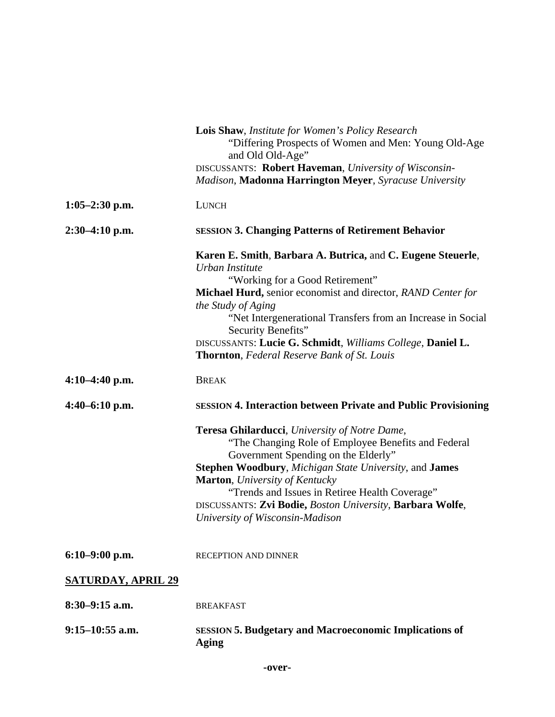|                           | <b>Lois Shaw, Institute for Women's Policy Research</b><br>"Differing Prospects of Women and Men: Young Old-Age<br>and Old Old-Age"<br>DISCUSSANTS: Robert Haveman, University of Wisconsin-<br>Madison, Madonna Harrington Meyer, Syracuse University                                                                                                                                                           |
|---------------------------|------------------------------------------------------------------------------------------------------------------------------------------------------------------------------------------------------------------------------------------------------------------------------------------------------------------------------------------------------------------------------------------------------------------|
| $1:05-2:30$ p.m.          | <b>LUNCH</b>                                                                                                                                                                                                                                                                                                                                                                                                     |
| $2:30-4:10$ p.m.          | <b>SESSION 3. Changing Patterns of Retirement Behavior</b>                                                                                                                                                                                                                                                                                                                                                       |
|                           | Karen E. Smith, Barbara A. Butrica, and C. Eugene Steuerle,<br>Urban Institute<br>"Working for a Good Retirement"<br>Michael Hurd, senior economist and director, RAND Center for<br>the Study of Aging<br>"Net Intergenerational Transfers from an Increase in Social<br>Security Benefits"<br>DISCUSSANTS: Lucie G. Schmidt, Williams College, Daniel L.<br><b>Thornton, Federal Reserve Bank of St. Louis</b> |
| $4:10-4:40$ p.m.          | <b>BREAK</b>                                                                                                                                                                                                                                                                                                                                                                                                     |
| $4:40-6:10$ p.m.          | <b>SESSION 4. Interaction between Private and Public Provisioning</b>                                                                                                                                                                                                                                                                                                                                            |
|                           | Teresa Ghilarducci, University of Notre Dame,<br>"The Changing Role of Employee Benefits and Federal<br>Government Spending on the Elderly"<br><b>Stephen Woodbury, Michigan State University, and James</b><br><b>Marton</b> , University of Kentucky<br>"Trends and Issues in Retiree Health Coverage"<br>DISCUSSANTS: Zvi Bodie, Boston University, Barbara Wolfe,<br>University of Wisconsin-Madison         |
| $6:10-9:00$ p.m.          | <b>RECEPTION AND DINNER</b>                                                                                                                                                                                                                                                                                                                                                                                      |
| <b>SATURDAY, APRIL 29</b> |                                                                                                                                                                                                                                                                                                                                                                                                                  |
| $8:30-9:15$ a.m.          | <b>BREAKFAST</b>                                                                                                                                                                                                                                                                                                                                                                                                 |
| $9:15-10:55$ a.m.         | <b>SESSION 5. Budgetary and Macroeconomic Implications of</b><br><b>Aging</b>                                                                                                                                                                                                                                                                                                                                    |